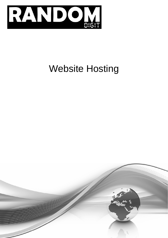

# Website Hosting

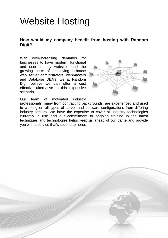# Website Hosting

# **How would my company benefit from hosting with Random Digit?**

With ever-increasing demands for businesses to have modern, functional and user friendly websites and the growing costs of employing in-house web server administrators, webmasters and Database DBA's, we at Random Digit believe we can offer a cost effective alternative to this expensive scenario.



Our team of motivated industry

professionals, many from contracting backgrounds, are experienced and used to working on all types of server and software configurations from differing industry sectors. We have the expertise to cover all industry technologies currently in use and our commitment to ongoing training in the latest techniques and technologies helps keep us ahead of our game and provide you with a service that's second to none.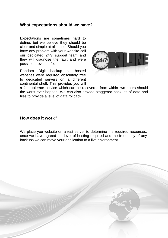#### **What expectations should we have?**

Expectations are sometimes hard to define, but we believe they should be clear and simple at all times. Should you have any problem with your website call our dedicated 24/7 support team and they will diagnose the fault and were possible provide a fix.

Random Digit backup all hosted websites were required absolutely free to dedicated servers on a different continental shelf. This provides you will



a fault tolerate service which can be recovered from within two hours should the worst ever happen. We can also provide staggered backups of data and files to provide a level of data rollback.

#### **How does it work?**

We place you website on a test server to determine the required recourses, once we have agreed the level of hosting required and the frequency of any backups we can move your application to a live environment.